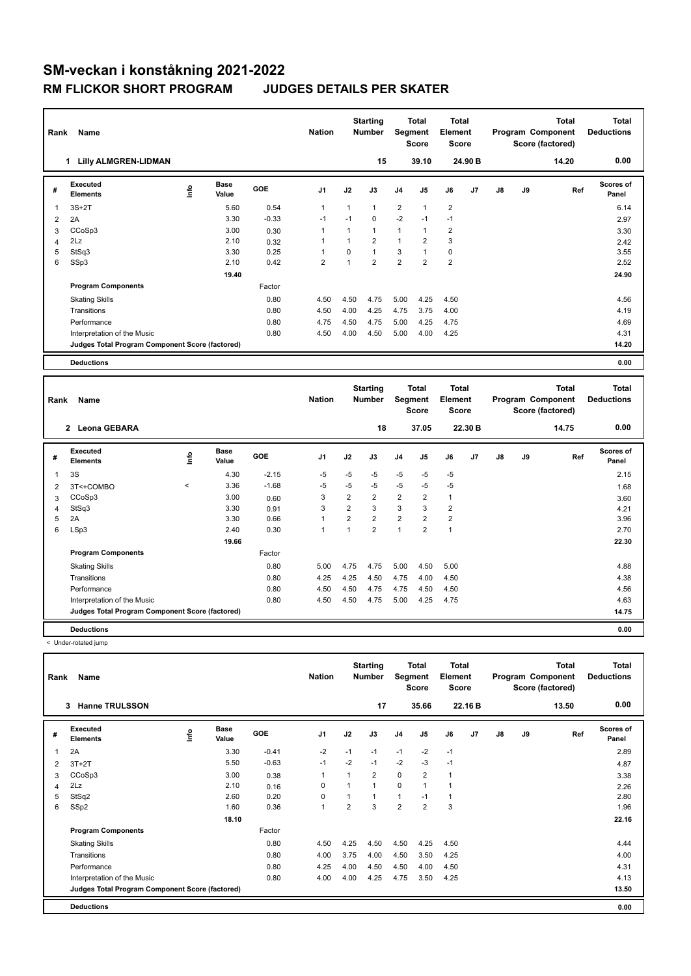| Rank | Name                                            |      |                      |         | <b>Nation</b>  |                | <b>Starting</b><br><b>Number</b> | Segment        | Total<br><b>Score</b>   | <b>Total</b><br>Element<br><b>Score</b> |         |    |    | <b>Total</b><br>Program Component<br>Score (factored) | <b>Total</b><br><b>Deductions</b> |
|------|-------------------------------------------------|------|----------------------|---------|----------------|----------------|----------------------------------|----------------|-------------------------|-----------------------------------------|---------|----|----|-------------------------------------------------------|-----------------------------------|
|      | <b>Lilly ALMGREN-LIDMAN</b><br>1                |      |                      |         |                |                | 15                               |                | 39.10                   |                                         | 24.90 B |    |    | 14.20                                                 | 0.00                              |
| #    | Executed<br><b>Elements</b>                     | lnfo | <b>Base</b><br>Value | GOE     | J <sub>1</sub> | J2             | J3                               | J <sub>4</sub> | J <sub>5</sub>          | J6                                      | J7      | J8 | J9 | Ref                                                   | <b>Scores of</b><br>Panel         |
| 1    | $3S+2T$                                         |      | 5.60                 | 0.54    | $\mathbf{1}$   | $\overline{1}$ | 1                                | $\overline{2}$ | $\mathbf{1}$            | $\overline{2}$                          |         |    |    |                                                       | 6.14                              |
| 2    | 2A                                              |      | 3.30                 | $-0.33$ | $-1$           | $-1$           | 0                                | $-2$           | $-1$                    | $-1$                                    |         |    |    |                                                       | 2.97                              |
| 3    | CCoSp3                                          |      | 3.00                 | 0.30    | $\overline{1}$ | 1              | 1                                | $\overline{1}$ | $\mathbf{1}$            | $\overline{2}$                          |         |    |    |                                                       | 3.30                              |
| 4    | 2Lz                                             |      | 2.10                 | 0.32    | 1              |                | $\overline{2}$                   | $\mathbf{1}$   | $\overline{2}$          | 3                                       |         |    |    |                                                       | 2.42                              |
| 5    | StSq3                                           |      | 3.30                 | 0.25    | -1             | $\Omega$       | 1                                | 3              | $\mathbf{1}$            | $\mathbf 0$                             |         |    |    |                                                       | 3.55                              |
| 6    | SSp3                                            |      | 2.10                 | 0.42    | $\overline{2}$ | $\overline{1}$ | $\overline{2}$                   | $\overline{2}$ | $\overline{\mathbf{c}}$ | $\overline{2}$                          |         |    |    |                                                       | 2.52                              |
|      |                                                 |      | 19.40                |         |                |                |                                  |                |                         |                                         |         |    |    |                                                       | 24.90                             |
|      | <b>Program Components</b>                       |      |                      | Factor  |                |                |                                  |                |                         |                                         |         |    |    |                                                       |                                   |
|      | <b>Skating Skills</b>                           |      |                      | 0.80    | 4.50           | 4.50           | 4.75                             | 5.00           | 4.25                    | 4.50                                    |         |    |    |                                                       | 4.56                              |
|      | Transitions                                     |      |                      | 0.80    | 4.50           | 4.00           | 4.25                             | 4.75           | 3.75                    | 4.00                                    |         |    |    |                                                       | 4.19                              |
|      | Performance                                     |      |                      | 0.80    | 4.75           | 4.50           | 4.75                             | 5.00           | 4.25                    | 4.75                                    |         |    |    |                                                       | 4.69                              |
|      | Interpretation of the Music                     |      |                      | 0.80    | 4.50           | 4.00           | 4.50                             | 5.00           | 4.00                    | 4.25                                    |         |    |    |                                                       | 4.31                              |
|      | Judges Total Program Component Score (factored) |      |                      |         |                |                |                                  |                |                         |                                         |         |    |    |                                                       | 14.20                             |
|      | <b>Deductions</b>                               |      |                      |         |                |                |                                  |                |                         |                                         |         |    |    |                                                       | 0.00                              |

| Rank | Name                                            |         |                      |         | <b>Nation</b>  |                | <b>Starting</b><br><b>Number</b> | Segment        | Total<br><b>Score</b> | <b>Total</b><br>Element<br><b>Score</b> |                |               |    | <b>Total</b><br>Program Component<br>Score (factored) | <b>Total</b><br><b>Deductions</b> |
|------|-------------------------------------------------|---------|----------------------|---------|----------------|----------------|----------------------------------|----------------|-----------------------|-----------------------------------------|----------------|---------------|----|-------------------------------------------------------|-----------------------------------|
|      | 2 Leona GEBARA                                  |         |                      |         |                |                | 18                               |                | 37.05                 |                                         | 22.30 B        |               |    | 14.75                                                 | 0.00                              |
| #    | <b>Executed</b><br><b>Elements</b>              | ۴       | <b>Base</b><br>Value | GOE     | J <sub>1</sub> | J2             | J3                               | J <sub>4</sub> | J <sub>5</sub>        | J6                                      | J <sub>7</sub> | $\mathsf{J}8$ | J9 | Ref                                                   | <b>Scores of</b><br>Panel         |
| 1    | 3S                                              |         | 4.30                 | $-2.15$ | -5             | $-5$           | $-5$                             | $-5$           | $-5$                  | $-5$                                    |                |               |    |                                                       | 2.15                              |
| 2    | 3T<+COMBO                                       | $\prec$ | 3.36                 | $-1.68$ | -5             | $-5$           | $-5$                             | $-5$           | $-5$                  | $-5$                                    |                |               |    |                                                       | 1.68                              |
| 3    | CCoSp3                                          |         | 3.00                 | 0.60    | 3              | $\overline{2}$ | $\overline{2}$                   | $\overline{2}$ | $\overline{2}$        | $\mathbf{1}$                            |                |               |    |                                                       | 3.60                              |
| 4    | StSq3                                           |         | 3.30                 | 0.91    | 3              | $\overline{2}$ | 3                                | 3              | 3                     | $\overline{2}$                          |                |               |    |                                                       | 4.21                              |
| 5    | 2A                                              |         | 3.30                 | 0.66    | $\mathbf{1}$   | $\overline{2}$ | $\overline{2}$                   | $\overline{2}$ | $\overline{2}$        | $\overline{2}$                          |                |               |    |                                                       | 3.96                              |
| 6    | LSp3                                            |         | 2.40                 | 0.30    | $\mathbf{1}$   |                | $\overline{2}$                   | $\overline{1}$ | $\overline{2}$        | $\mathbf{1}$                            |                |               |    |                                                       | 2.70                              |
|      |                                                 |         | 19.66                |         |                |                |                                  |                |                       |                                         |                |               |    |                                                       | 22.30                             |
|      | <b>Program Components</b>                       |         |                      | Factor  |                |                |                                  |                |                       |                                         |                |               |    |                                                       |                                   |
|      | <b>Skating Skills</b>                           |         |                      | 0.80    | 5.00           | 4.75           | 4.75                             | 5.00           | 4.50                  | 5.00                                    |                |               |    |                                                       | 4.88                              |
|      | Transitions                                     |         |                      | 0.80    | 4.25           | 4.25           | 4.50                             | 4.75           | 4.00                  | 4.50                                    |                |               |    |                                                       | 4.38                              |
|      | Performance                                     |         |                      | 0.80    | 4.50           | 4.50           | 4.75                             | 4.75           | 4.50                  | 4.50                                    |                |               |    |                                                       | 4.56                              |
|      | Interpretation of the Music                     |         |                      | 0.80    | 4.50           | 4.50           | 4.75                             | 5.00           | 4.25                  | 4.75                                    |                |               |    |                                                       | 4.63                              |
|      | Judges Total Program Component Score (factored) |         |                      |         |                |                |                                  |                |                       |                                         |                |               |    |                                                       | 14.75                             |
|      | <b>Deductions</b>                               |         |                      |         |                |                |                                  |                |                       |                                         |                |               |    |                                                       | 0.00                              |

< Under-rotated jump

| Rank | Name                                            |      |                      |         | <b>Nation</b>  |      | <b>Starting</b><br><b>Number</b> | Segment        | Total<br><b>Score</b> | Total<br>Element<br><b>Score</b> |                |    |    | <b>Total</b><br>Program Component<br>Score (factored) | <b>Total</b><br><b>Deductions</b> |
|------|-------------------------------------------------|------|----------------------|---------|----------------|------|----------------------------------|----------------|-----------------------|----------------------------------|----------------|----|----|-------------------------------------------------------|-----------------------------------|
|      | <b>Hanne TRULSSON</b><br>3                      |      |                      |         |                |      | 17                               |                | 35.66                 |                                  | 22.16 B        |    |    | 13.50                                                 | 0.00                              |
| #    | Executed<br><b>Elements</b>                     | Info | <b>Base</b><br>Value | GOE     | J <sub>1</sub> | J2   | J3                               | J <sub>4</sub> | J <sub>5</sub>        | J6                               | J <sub>7</sub> | J8 | J9 | Ref                                                   | Scores of<br>Panel                |
| 1    | 2A                                              |      | 3.30                 | $-0.41$ | $-2$           | $-1$ | $-1$                             | $-1$           | $-2$                  | $-1$                             |                |    |    |                                                       | 2.89                              |
| 2    | $3T+2T$                                         |      | 5.50                 | $-0.63$ | $-1$           | $-2$ | $-1$                             | $-2$           | $-3$                  | $-1$                             |                |    |    |                                                       | 4.87                              |
| 3    | CCoSp3                                          |      | 3.00                 | 0.38    | -1             |      | $\overline{2}$                   | $\mathbf 0$    | $\overline{2}$        | $\mathbf{1}$                     |                |    |    |                                                       | 3.38                              |
| 4    | 2Lz                                             |      | 2.10                 | 0.16    | 0              |      | $\overline{1}$                   | 0              | $\overline{1}$        | 1                                |                |    |    |                                                       | 2.26                              |
| 5    | StSq2                                           |      | 2.60                 | 0.20    | $\Omega$       |      | $\overline{1}$                   | 1              | $-1$                  | 1                                |                |    |    |                                                       | 2.80                              |
| 6    | SSp2                                            |      | 1.60                 | 0.36    | $\overline{1}$ | 2    | 3                                | $\overline{2}$ | $\overline{2}$        | 3                                |                |    |    |                                                       | 1.96                              |
|      |                                                 |      | 18.10                |         |                |      |                                  |                |                       |                                  |                |    |    |                                                       | 22.16                             |
|      | <b>Program Components</b>                       |      |                      | Factor  |                |      |                                  |                |                       |                                  |                |    |    |                                                       |                                   |
|      | <b>Skating Skills</b>                           |      |                      | 0.80    | 4.50           | 4.25 | 4.50                             | 4.50           | 4.25                  | 4.50                             |                |    |    |                                                       | 4.44                              |
|      | Transitions                                     |      |                      | 0.80    | 4.00           | 3.75 | 4.00                             | 4.50           | 3.50                  | 4.25                             |                |    |    |                                                       | 4.00                              |
|      | Performance                                     |      |                      | 0.80    | 4.25           | 4.00 | 4.50                             | 4.50           | 4.00                  | 4.50                             |                |    |    |                                                       | 4.31                              |
|      | Interpretation of the Music                     |      |                      | 0.80    | 4.00           | 4.00 | 4.25                             | 4.75           | 3.50                  | 4.25                             |                |    |    |                                                       | 4.13                              |
|      | Judges Total Program Component Score (factored) |      |                      |         |                |      |                                  |                |                       |                                  |                |    |    |                                                       | 13.50                             |
|      | <b>Deductions</b>                               |      |                      |         |                |      |                                  |                |                       |                                  |                |    |    |                                                       | 0.00                              |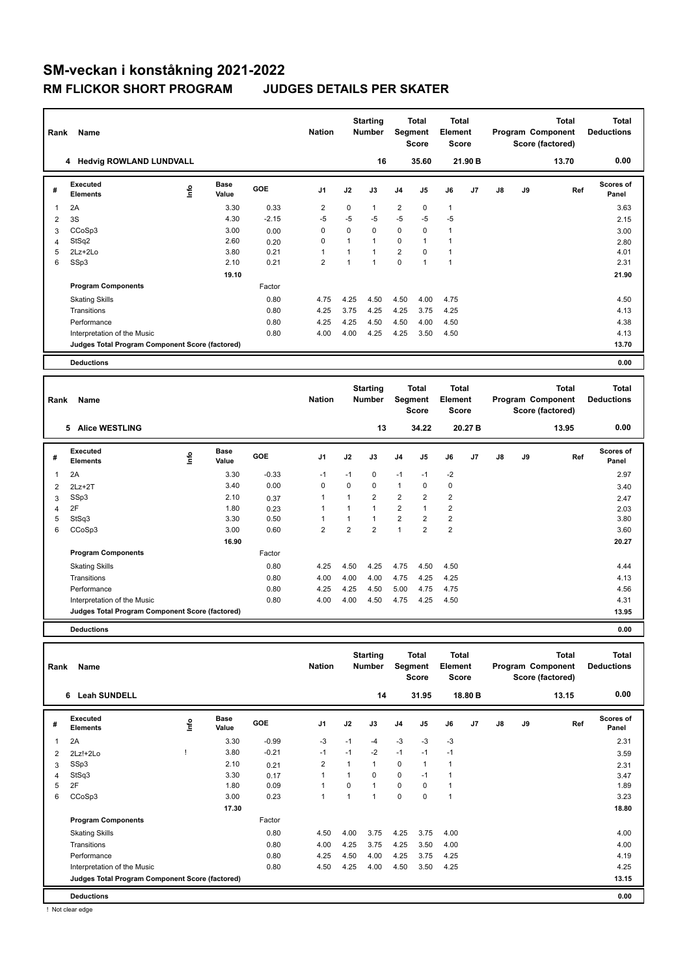# **SM-veckan i konståkning 2021-2022 RM FLICKOR SHORT PROGRAM**

|  | <b>JUDGES DETAILS PER SKATER</b> |  |  |
|--|----------------------------------|--|--|
|--|----------------------------------|--|--|

| Rank                         | Name                                            |      |                      |              | <b>Nation</b>  |                | <b>Starting</b><br><b>Number</b> | Segment        | Total<br><b>Score</b> | <b>Total</b><br>Element<br><b>Score</b> |         |    |    | <b>Total</b><br>Program Component<br>Score (factored) | <b>Total</b><br><b>Deductions</b> |
|------------------------------|-------------------------------------------------|------|----------------------|--------------|----------------|----------------|----------------------------------|----------------|-----------------------|-----------------------------------------|---------|----|----|-------------------------------------------------------|-----------------------------------|
|                              | 4 Hedvig ROWLAND LUNDVALL                       |      |                      |              |                |                | 16                               |                | 35.60                 |                                         | 21.90 B |    |    | 13.70                                                 | 0.00                              |
| #                            | <b>Executed</b><br><b>Elements</b>              | lnfo | <b>Base</b><br>Value | GOE          | J1             | J2             | J3                               | J4             | J5                    | J6                                      | J7      | J8 | J9 | Ref                                                   | <b>Scores of</b><br>Panel         |
| 1                            | 2A                                              |      | 3.30                 | 0.33         | $\overline{2}$ | 0              | $\mathbf{1}$                     | $\overline{2}$ | 0                     | $\mathbf{1}$                            |         |    |    |                                                       | 3.63                              |
| $\overline{2}$               | 3S                                              |      | 4.30                 | $-2.15$      | $-5$           | $-5$           | $-5$                             | $-5$           | $-5$                  | $-5$                                    |         |    |    |                                                       | 2.15                              |
| 3                            | CCoSp3                                          |      | 3.00                 | 0.00         | 0              | 0              | $\mathbf 0$                      | 0              | 0                     | $\mathbf{1}$                            |         |    |    |                                                       | 3.00                              |
| $\overline{4}$               | StSq2                                           |      | 2.60                 | 0.20         | 0              | $\mathbf{1}$   | $\mathbf{1}$                     | $\Omega$       | $\mathbf{1}$          | $\mathbf{1}$                            |         |    |    |                                                       | 2.80                              |
| 5                            | 2Lz+2Lo                                         |      | 3.80                 | 0.21         | 1              | $\mathbf{1}$   | $\mathbf{1}$                     | $\overline{2}$ | 0                     | $\mathbf{1}$                            |         |    |    |                                                       | 4.01                              |
| 6                            | SSp3                                            |      | 2.10                 | 0.21         | $\overline{2}$ | $\overline{1}$ | $\mathbf{1}$                     | $\Omega$       | $\overline{1}$        | $\mathbf{1}$                            |         |    |    |                                                       | 2.31                              |
|                              |                                                 |      | 19.10                |              |                |                |                                  |                |                       |                                         |         |    |    |                                                       | 21.90                             |
|                              | <b>Program Components</b>                       |      |                      | Factor       |                |                |                                  |                |                       |                                         |         |    |    |                                                       |                                   |
|                              | <b>Skating Skills</b>                           |      |                      | 0.80         | 4.75           | 4.25           | 4.50                             | 4.50           | 4.00                  | 4.75                                    |         |    |    |                                                       | 4.50                              |
|                              | Transitions                                     |      |                      | 0.80         | 4.25           | 3.75           | 4.25                             | 4.25           | 3.75                  | 4.25                                    |         |    |    |                                                       | 4.13                              |
|                              | Performance                                     |      |                      | 0.80         | 4.25           | 4.25           | 4.50                             | 4.50           | 4.00                  | 4.50                                    |         |    |    |                                                       | 4.38                              |
|                              | Interpretation of the Music                     |      |                      | 0.80         | 4.00           | 4.00           | 4.25                             | 4.25           | 3.50                  | 4.50                                    |         |    |    |                                                       | 4.13                              |
|                              | Judges Total Program Component Score (factored) |      |                      |              |                |                |                                  |                |                       |                                         |         |    |    |                                                       | 13.70                             |
|                              | <b>Deductions</b>                               |      |                      |              |                |                |                                  |                |                       |                                         |         |    |    |                                                       | 0.00                              |
|                              |                                                 |      |                      |              |                |                |                                  |                |                       |                                         |         |    |    |                                                       |                                   |
|                              |                                                 |      |                      |              |                |                | <b>Starting</b>                  |                | <b>Total</b>          | Total                                   |         |    |    | <b>Total</b>                                          | <b>Total</b>                      |
|                              |                                                 |      |                      |              |                |                |                                  |                |                       |                                         |         |    |    |                                                       |                                   |
|                              | Name                                            |      |                      |              | <b>Nation</b>  |                | Number                           |                |                       | Element                                 |         |    |    | Program Component                                     | <b>Deductions</b>                 |
| Rank                         |                                                 |      |                      |              |                |                |                                  | Segment        | <b>Score</b>          | Score                                   |         |    |    | Score (factored)                                      |                                   |
|                              |                                                 |      |                      |              |                |                |                                  |                |                       |                                         |         |    |    |                                                       |                                   |
|                              | 5 Alice WESTLING                                |      |                      |              |                |                | 13                               |                | 34.22                 |                                         | 20.27 B |    |    | 13.95                                                 | 0.00                              |
| #                            | <b>Executed</b><br><b>Elements</b>              | lnfo | <b>Base</b><br>Value | GOE          | J1             | J2             | J3                               | J4             | J5                    | J6                                      | J7      | J8 | J9 | Ref                                                   | Scores of<br>Panel                |
| 1                            | 2A                                              |      | 3.30                 | $-0.33$      | $-1$           | $-1$           | 0                                | $-1$           | $-1$                  | $-2$                                    |         |    |    |                                                       | 2.97                              |
| $\overline{2}$               | $2Lz+2T$                                        |      | 3.40                 | 0.00         | $\mathbf 0$    | 0              | $\Omega$                         | $\mathbf{1}$   | 0                     | $\mathbf 0$                             |         |    |    |                                                       | 3.40                              |
|                              |                                                 |      | 2.10                 |              | 1              | 1              | $\overline{2}$                   | $\overline{2}$ | $\overline{2}$        | $\overline{2}$                          |         |    |    |                                                       |                                   |
| 3<br>$\overline{\mathbf{4}}$ | SSp3<br>2F                                      |      | 1.80                 | 0.37<br>0.23 | 1              | $\mathbf{1}$   | $\mathbf{1}$                     | $\overline{2}$ | $\mathbf{1}$          | $\overline{2}$                          |         |    |    |                                                       | 2.47<br>2.03                      |
| 5                            | StSq3                                           |      | 3.30                 | 0.50         | 1              | $\mathbf{1}$   | $\mathbf{1}$                     | $\overline{2}$ | $\overline{2}$        | $\overline{2}$                          |         |    |    |                                                       | 3.80                              |
| 6                            | CCoSp3                                          |      | 3.00                 | 0.60         | $\overline{2}$ | $\overline{2}$ | $\overline{2}$                   | $\mathbf{1}$   | $\overline{2}$        | $\overline{2}$                          |         |    |    |                                                       | 3.60                              |
|                              |                                                 |      | 16.90                |              |                |                |                                  |                |                       |                                         |         |    |    |                                                       | 20.27                             |
|                              | <b>Program Components</b>                       |      |                      | Factor       |                |                |                                  |                |                       |                                         |         |    |    |                                                       |                                   |
|                              |                                                 |      |                      | 0.80         | 4.25           | 4.50           | 4.25                             | 4.75           | 4.50                  | 4.50                                    |         |    |    |                                                       | 4.44                              |
|                              | <b>Skating Skills</b><br>Transitions            |      |                      | 0.80         | 4.00           | 4.00           | 4.00                             | 4.75           | 4.25                  | 4.25                                    |         |    |    |                                                       | 4.13                              |
|                              | Performance                                     |      |                      | 0.80         | 4.25           | 4.25           | 4.50                             | 5.00           | 4.75                  | 4.75                                    |         |    |    |                                                       | 4.56                              |
|                              | Interpretation of the Music                     |      |                      | 0.80         | 4.00           | 4.00           | 4.50                             | 4.75           | 4.25                  | 4.50                                    |         |    |    |                                                       | 4.31                              |

**Deductions 0.00**

| Rank | Name                                            |    |                      |         | <b>Nation</b>  |          | <b>Starting</b><br><b>Number</b> | Segment        | Total<br><b>Score</b> | <b>Total</b><br>Element<br><b>Score</b> |         |    |    | <b>Total</b><br>Program Component<br>Score (factored) | <b>Total</b><br><b>Deductions</b> |
|------|-------------------------------------------------|----|----------------------|---------|----------------|----------|----------------------------------|----------------|-----------------------|-----------------------------------------|---------|----|----|-------------------------------------------------------|-----------------------------------|
|      | <b>Leah SUNDELL</b><br>6                        |    |                      |         |                |          | 14                               |                | 31.95                 |                                         | 18.80 B |    |    | 13.15                                                 | 0.00                              |
| #    | Executed<br><b>Elements</b>                     | ١m | <b>Base</b><br>Value | GOE     | J <sub>1</sub> | J2       | J3                               | J <sub>4</sub> | J <sub>5</sub>        | J6                                      | J7      | J8 | J9 | Ref                                                   | Scores of<br>Panel                |
| 1    | 2A                                              |    | 3.30                 | $-0.99$ | -3             | $-1$     | $-4$                             | $-3$           | $-3$                  | $-3$                                    |         |    |    |                                                       | 2.31                              |
| 2    | $2Lz!+2Lo$                                      |    | 3.80                 | $-0.21$ | $-1$           | $-1$     | $-2$                             | $-1$           | $-1$                  | $-1$                                    |         |    |    |                                                       | 3.59                              |
| 3    | SSp3                                            |    | 2.10                 | 0.21    | 2              |          | $\mathbf{1}$                     | $\mathbf 0$    | 1                     | $\mathbf 1$                             |         |    |    |                                                       | 2.31                              |
| 4    | StSq3                                           |    | 3.30                 | 0.17    | $\mathbf{1}$   |          | 0                                | $\mathbf 0$    | $-1$                  | $\mathbf 1$                             |         |    |    |                                                       | 3.47                              |
| 5    | 2F                                              |    | 1.80                 | 0.09    | -1             | $\Omega$ | 1                                | $\mathbf 0$    | 0                     | $\mathbf{1}$                            |         |    |    |                                                       | 1.89                              |
| 6    | CCoSp3                                          |    | 3.00                 | 0.23    | $\mathbf{1}$   |          | 1                                | 0              | 0                     | $\mathbf 1$                             |         |    |    |                                                       | 3.23                              |
|      |                                                 |    | 17.30                |         |                |          |                                  |                |                       |                                         |         |    |    |                                                       | 18.80                             |
|      | <b>Program Components</b>                       |    |                      | Factor  |                |          |                                  |                |                       |                                         |         |    |    |                                                       |                                   |
|      | <b>Skating Skills</b>                           |    |                      | 0.80    | 4.50           | 4.00     | 3.75                             | 4.25           | 3.75                  | 4.00                                    |         |    |    |                                                       | 4.00                              |
|      | Transitions                                     |    |                      | 0.80    | 4.00           | 4.25     | 3.75                             | 4.25           | 3.50                  | 4.00                                    |         |    |    |                                                       | 4.00                              |
|      | Performance                                     |    |                      | 0.80    | 4.25           | 4.50     | 4.00                             | 4.25           | 3.75                  | 4.25                                    |         |    |    |                                                       | 4.19                              |
|      | Interpretation of the Music                     |    |                      | 0.80    | 4.50           | 4.25     | 4.00                             | 4.50           | 3.50                  | 4.25                                    |         |    |    |                                                       | 4.25                              |
|      | Judges Total Program Component Score (factored) |    |                      |         |                |          |                                  |                |                       |                                         |         |    |    |                                                       | 13.15                             |
|      | <b>Deductions</b>                               |    |                      |         |                |          |                                  |                |                       |                                         |         |    |    |                                                       | 0.00                              |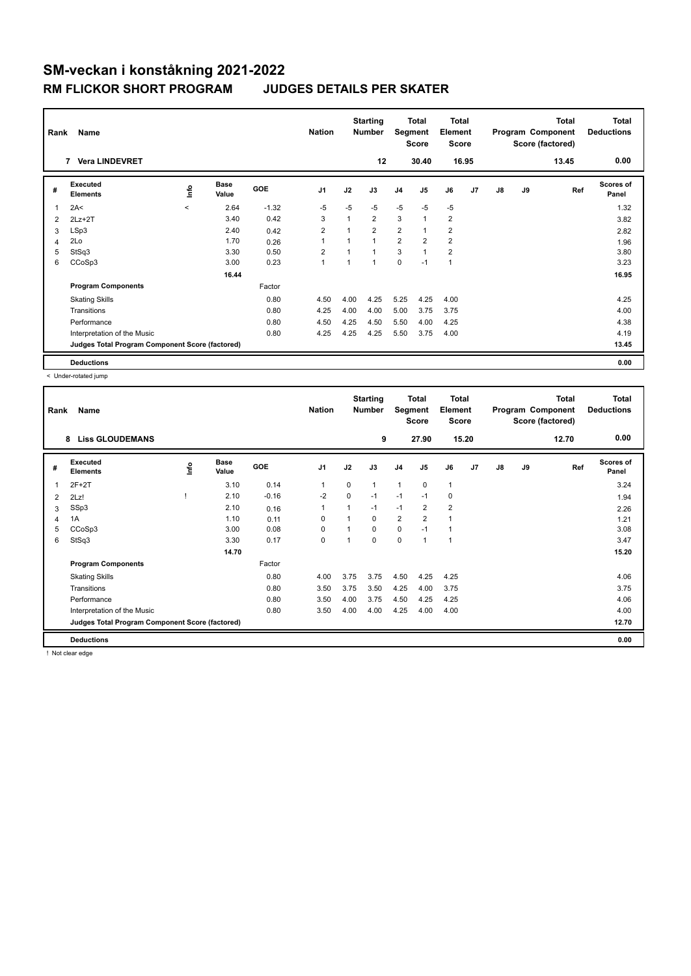| Rank | Name                                            |         |                      |            | <b>Nation</b>  |             | <b>Starting</b><br><b>Number</b> | Segment        | <b>Total</b><br><b>Score</b> | Total<br>Element<br><b>Score</b> |                |    |    | <b>Total</b><br>Program Component<br>Score (factored) | Total<br><b>Deductions</b> |
|------|-------------------------------------------------|---------|----------------------|------------|----------------|-------------|----------------------------------|----------------|------------------------------|----------------------------------|----------------|----|----|-------------------------------------------------------|----------------------------|
|      | <b>Vera LINDEVRET</b><br>7                      |         |                      |            |                |             | 12                               |                | 30.40                        |                                  | 16.95          |    |    | 13.45                                                 | 0.00                       |
| #    | Executed<br><b>Elements</b>                     | lnfo    | <b>Base</b><br>Value | <b>GOE</b> | J <sub>1</sub> | J2          | J3                               | J <sub>4</sub> | J5                           | J6                               | J <sub>7</sub> | J8 | J9 | Ref                                                   | <b>Scores of</b><br>Panel  |
| 1    | 2A<                                             | $\prec$ | 2.64                 | $-1.32$    | $-5$           | $-5$        | $-5$                             | $-5$           | $-5$                         | $-5$                             |                |    |    |                                                       | 1.32                       |
| 2    | $2Lz+2T$                                        |         | 3.40                 | 0.42       | 3              | $\mathbf 1$ | $\overline{2}$                   | 3              | $\overline{1}$               | $\overline{2}$                   |                |    |    |                                                       | 3.82                       |
| 3    | LSp3                                            |         | 2.40                 | 0.42       | 2              |             | $\overline{2}$                   | $\overline{2}$ |                              | $\overline{\mathbf{c}}$          |                |    |    |                                                       | 2.82                       |
| 4    | 2Lo                                             |         | 1.70                 | 0.26       | 1              |             | 1                                | $\overline{2}$ | $\overline{2}$               | $\overline{2}$                   |                |    |    |                                                       | 1.96                       |
| 5    | StSq3                                           |         | 3.30                 | 0.50       | $\overline{2}$ |             | 4                                | 3              |                              | $\overline{2}$                   |                |    |    |                                                       | 3.80                       |
| 6    | CCoSp3                                          |         | 3.00                 | 0.23       | 1              | 1           | 1                                | $\mathbf 0$    | $-1$                         | $\mathbf{1}$                     |                |    |    |                                                       | 3.23                       |
|      |                                                 |         | 16.44                |            |                |             |                                  |                |                              |                                  |                |    |    |                                                       | 16.95                      |
|      | <b>Program Components</b>                       |         |                      | Factor     |                |             |                                  |                |                              |                                  |                |    |    |                                                       |                            |
|      | <b>Skating Skills</b>                           |         |                      | 0.80       | 4.50           | 4.00        | 4.25                             | 5.25           | 4.25                         | 4.00                             |                |    |    |                                                       | 4.25                       |
|      | Transitions                                     |         |                      | 0.80       | 4.25           | 4.00        | 4.00                             | 5.00           | 3.75                         | 3.75                             |                |    |    |                                                       | 4.00                       |
|      | Performance                                     |         |                      | 0.80       | 4.50           | 4.25        | 4.50                             | 5.50           | 4.00                         | 4.25                             |                |    |    |                                                       | 4.38                       |
|      | Interpretation of the Music                     |         |                      | 0.80       | 4.25           | 4.25        | 4.25                             | 5.50           | 3.75                         | 4.00                             |                |    |    |                                                       | 4.19                       |
|      | Judges Total Program Component Score (factored) |         |                      |            |                |             |                                  |                |                              |                                  |                |    |    |                                                       | 13.45                      |
|      | <b>Deductions</b>                               |         |                      |            |                |             |                                  |                |                              |                                  |                |    |    |                                                       | 0.00                       |

< Under-rotated jump

| Rank | Name                                            |      |                      |         | <b>Nation</b>  |             | <b>Starting</b><br><b>Number</b> | Segment        | Total<br><b>Score</b> | <b>Total</b><br>Element<br><b>Score</b> |                |    |    | <b>Total</b><br>Program Component<br>Score (factored) | <b>Total</b><br><b>Deductions</b> |
|------|-------------------------------------------------|------|----------------------|---------|----------------|-------------|----------------------------------|----------------|-----------------------|-----------------------------------------|----------------|----|----|-------------------------------------------------------|-----------------------------------|
|      | <b>Liss GLOUDEMANS</b><br>8                     |      |                      |         |                |             | 9                                |                | 27.90                 |                                         | 15.20          |    |    | 12.70                                                 | 0.00                              |
| #    | Executed<br><b>Elements</b>                     | lnfo | <b>Base</b><br>Value | GOE     | J <sub>1</sub> | J2          | J3                               | J <sub>4</sub> | J <sub>5</sub>        | J6                                      | J <sub>7</sub> | J8 | J9 | Ref                                                   | <b>Scores of</b><br>Panel         |
| 1    | $2F+2T$                                         |      | 3.10                 | 0.14    | $\overline{1}$ | $\Omega$    | $\mathbf{1}$                     | 1              | $\mathbf 0$           | $\mathbf{1}$                            |                |    |    |                                                       | 3.24                              |
| 2    | 2Lz!                                            |      | 2.10                 | $-0.16$ | $-2$           | $\mathbf 0$ | $-1$                             | $-1$           | $-1$                  | 0                                       |                |    |    |                                                       | 1.94                              |
| 3    | SSp3                                            |      | 2.10                 | 0.16    | 1              |             | $-1$                             | $-1$           | $\overline{2}$        | $\overline{2}$                          |                |    |    |                                                       | 2.26                              |
| 4    | 1A                                              |      | 1.10                 | 0.11    | $\Omega$       |             | $\Omega$                         | $\overline{2}$ | $\overline{2}$        | 1                                       |                |    |    |                                                       | 1.21                              |
| 5    | CCoSp3                                          |      | 3.00                 | 0.08    | $\Omega$       |             | $\Omega$                         | $\mathbf 0$    | $-1$                  | 1                                       |                |    |    |                                                       | 3.08                              |
| 6    | StSq3                                           |      | 3.30                 | 0.17    | 0              |             | $\Omega$                         | 0              | $\overline{1}$        | 1                                       |                |    |    |                                                       | 3.47                              |
|      |                                                 |      | 14.70                |         |                |             |                                  |                |                       |                                         |                |    |    |                                                       | 15.20                             |
|      | <b>Program Components</b>                       |      |                      | Factor  |                |             |                                  |                |                       |                                         |                |    |    |                                                       |                                   |
|      | <b>Skating Skills</b>                           |      |                      | 0.80    | 4.00           | 3.75        | 3.75                             | 4.50           | 4.25                  | 4.25                                    |                |    |    |                                                       | 4.06                              |
|      | Transitions                                     |      |                      | 0.80    | 3.50           | 3.75        | 3.50                             | 4.25           | 4.00                  | 3.75                                    |                |    |    |                                                       | 3.75                              |
|      | Performance                                     |      |                      | 0.80    | 3.50           | 4.00        | 3.75                             | 4.50           | 4.25                  | 4.25                                    |                |    |    |                                                       | 4.06                              |
|      | Interpretation of the Music                     |      |                      | 0.80    | 3.50           | 4.00        | 4.00                             | 4.25           | 4.00                  | 4.00                                    |                |    |    |                                                       | 4.00                              |
|      | Judges Total Program Component Score (factored) |      |                      |         |                |             |                                  |                |                       |                                         |                |    |    |                                                       | 12.70                             |
|      | <b>Deductions</b>                               |      |                      |         |                |             |                                  |                |                       |                                         |                |    |    |                                                       | 0.00                              |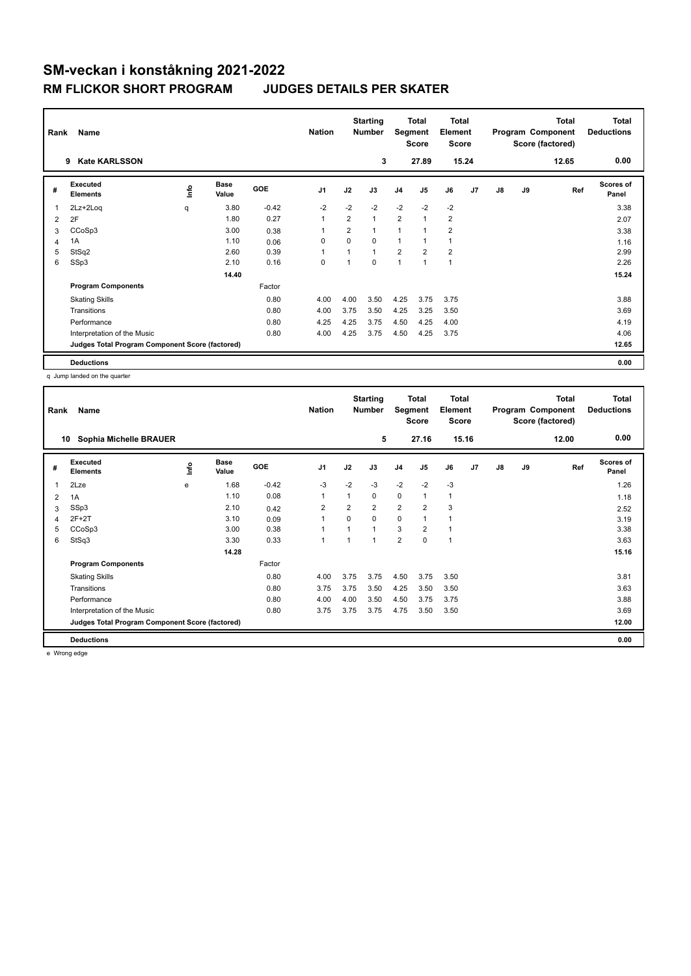| Rank         | Name                                            |             |                      |            | <b>Nation</b>  |                | <b>Starting</b><br><b>Number</b> | Segment        | <b>Total</b><br><b>Score</b> | <b>Total</b><br>Element<br><b>Score</b> |                |    |    | Total<br>Program Component<br>Score (factored) | <b>Total</b><br><b>Deductions</b> |
|--------------|-------------------------------------------------|-------------|----------------------|------------|----------------|----------------|----------------------------------|----------------|------------------------------|-----------------------------------------|----------------|----|----|------------------------------------------------|-----------------------------------|
|              | <b>Kate KARLSSON</b><br>9                       |             |                      |            |                |                | 3                                |                | 27.89                        |                                         | 15.24          |    |    | 12.65                                          | 0.00                              |
| #            | Executed<br><b>Elements</b>                     | <b>Info</b> | <b>Base</b><br>Value | <b>GOE</b> | J <sub>1</sub> | J2             | J3                               | J <sub>4</sub> | J <sub>5</sub>               | J6                                      | J <sub>7</sub> | J8 | J9 | Ref                                            | Scores of<br>Panel                |
| $\mathbf{1}$ | 2Lz+2Loq                                        | q           | 3.80                 | $-0.42$    | $-2$           | $-2$           | $-2$                             | $-2$           | $-2$                         | $-2$                                    |                |    |    |                                                | 3.38                              |
| 2            | 2F                                              |             | 1.80                 | 0.27       | $\mathbf{1}$   | $\overline{2}$ | 1                                | $\overline{2}$ | $\mathbf{1}$                 | $\overline{\mathbf{c}}$                 |                |    |    |                                                | 2.07                              |
| 3            | CCoSp3                                          |             | 3.00                 | 0.38       |                | $\overline{2}$ | 1                                | $\overline{1}$ | $\mathbf{1}$                 | $\overline{2}$                          |                |    |    |                                                | 3.38                              |
| 4            | 1A                                              |             | 1.10                 | 0.06       | 0              | $\Omega$       | 0                                | $\overline{1}$ | 1                            | 1                                       |                |    |    |                                                | 1.16                              |
| 5            | StSq2                                           |             | 2.60                 | 0.39       |                | $\overline{A}$ | $\overline{1}$                   | $\overline{2}$ | $\overline{2}$               | $\overline{2}$                          |                |    |    |                                                | 2.99                              |
| 6            | SSp3                                            |             | 2.10                 | 0.16       | $\mathbf 0$    | 1              | 0                                | $\overline{1}$ | $\mathbf{1}$                 | $\overline{1}$                          |                |    |    |                                                | 2.26                              |
|              |                                                 |             | 14.40                |            |                |                |                                  |                |                              |                                         |                |    |    |                                                | 15.24                             |
|              | <b>Program Components</b>                       |             |                      | Factor     |                |                |                                  |                |                              |                                         |                |    |    |                                                |                                   |
|              | <b>Skating Skills</b>                           |             |                      | 0.80       | 4.00           | 4.00           | 3.50                             | 4.25           | 3.75                         | 3.75                                    |                |    |    |                                                | 3.88                              |
|              | Transitions                                     |             |                      | 0.80       | 4.00           | 3.75           | 3.50                             | 4.25           | 3.25                         | 3.50                                    |                |    |    |                                                | 3.69                              |
|              | Performance                                     |             |                      | 0.80       | 4.25           | 4.25           | 3.75                             | 4.50           | 4.25                         | 4.00                                    |                |    |    |                                                | 4.19                              |
|              | Interpretation of the Music                     |             |                      | 0.80       | 4.00           | 4.25           | 3.75                             | 4.50           | 4.25                         | 3.75                                    |                |    |    |                                                | 4.06                              |
|              | Judges Total Program Component Score (factored) |             |                      |            |                |                |                                  |                |                              |                                         |                |    |    |                                                | 12.65                             |
|              | <b>Deductions</b>                               |             |                      |            |                |                |                                  |                |                              |                                         |                |    |    |                                                | 0.00                              |

q Jump landed on the quarter

| Rank                    | Name                                            |      |                      |         | <b>Nation</b>  |                | <b>Starting</b><br><b>Number</b> | Segment        | <b>Total</b><br><b>Score</b> | <b>Total</b><br>Element<br><b>Score</b> |                |    |    | Total<br>Program Component<br>Score (factored) | <b>Total</b><br><b>Deductions</b> |
|-------------------------|-------------------------------------------------|------|----------------------|---------|----------------|----------------|----------------------------------|----------------|------------------------------|-----------------------------------------|----------------|----|----|------------------------------------------------|-----------------------------------|
|                         | Sophia Michelle BRAUER<br>10                    |      |                      |         |                |                | 5                                |                | 27.16                        | 15.16                                   |                |    |    | 12.00                                          | 0.00                              |
| #                       | Executed<br><b>Elements</b>                     | ١nf٥ | <b>Base</b><br>Value | GOE     | J <sub>1</sub> | J2             | J3                               | J <sub>4</sub> | J <sub>5</sub>               | J6                                      | J <sub>7</sub> | J8 | J9 | Ref                                            | <b>Scores of</b><br>Panel         |
| $\overline{\mathbf{1}}$ | 2Lze                                            | e    | 1.68                 | $-0.42$ | $-3$           | $-2$           | $-3$                             | $-2$           | $-2$                         | $-3$                                    |                |    |    |                                                | 1.26                              |
| $\overline{2}$          | 1A                                              |      | 1.10                 | 0.08    | $\overline{1}$ | 1              | 0                                | 0              | $\mathbf{1}$                 | $\mathbf{1}$                            |                |    |    |                                                | 1.18                              |
| 3                       | SSp3                                            |      | 2.10                 | 0.42    | $\overline{2}$ | $\overline{2}$ | $\overline{2}$                   | $\overline{2}$ | $\overline{2}$               | 3                                       |                |    |    |                                                | 2.52                              |
| 4                       | $2F+2T$                                         |      | 3.10                 | 0.09    | 1              | $\Omega$       | $\Omega$                         | 0              | $\overline{1}$               | $\mathbf{1}$                            |                |    |    |                                                | 3.19                              |
| 5                       | CCoSp3                                          |      | 3.00                 | 0.38    | 4              |                | $\overline{1}$                   | 3              | $\overline{2}$               | 1                                       |                |    |    |                                                | 3.38                              |
| 6                       | StSq3                                           |      | 3.30                 | 0.33    | $\overline{1}$ |                |                                  | $\overline{2}$ | $\Omega$                     | $\overline{1}$                          |                |    |    |                                                | 3.63                              |
|                         |                                                 |      | 14.28                |         |                |                |                                  |                |                              |                                         |                |    |    |                                                | 15.16                             |
|                         | <b>Program Components</b>                       |      |                      | Factor  |                |                |                                  |                |                              |                                         |                |    |    |                                                |                                   |
|                         | <b>Skating Skills</b>                           |      |                      | 0.80    | 4.00           | 3.75           | 3.75                             | 4.50           | 3.75                         | 3.50                                    |                |    |    |                                                | 3.81                              |
|                         | Transitions                                     |      |                      | 0.80    | 3.75           | 3.75           | 3.50                             | 4.25           | 3.50                         | 3.50                                    |                |    |    |                                                | 3.63                              |
|                         | Performance                                     |      |                      | 0.80    | 4.00           | 4.00           | 3.50                             | 4.50           | 3.75                         | 3.75                                    |                |    |    |                                                | 3.88                              |
|                         | Interpretation of the Music                     |      |                      | 0.80    | 3.75           | 3.75           | 3.75                             | 4.75           | 3.50                         | 3.50                                    |                |    |    |                                                | 3.69                              |
|                         | Judges Total Program Component Score (factored) |      |                      |         |                |                |                                  |                |                              |                                         |                |    |    |                                                | 12.00                             |
|                         | <b>Deductions</b>                               |      |                      |         |                |                |                                  |                |                              |                                         |                |    |    |                                                | 0.00                              |

e Wrong edge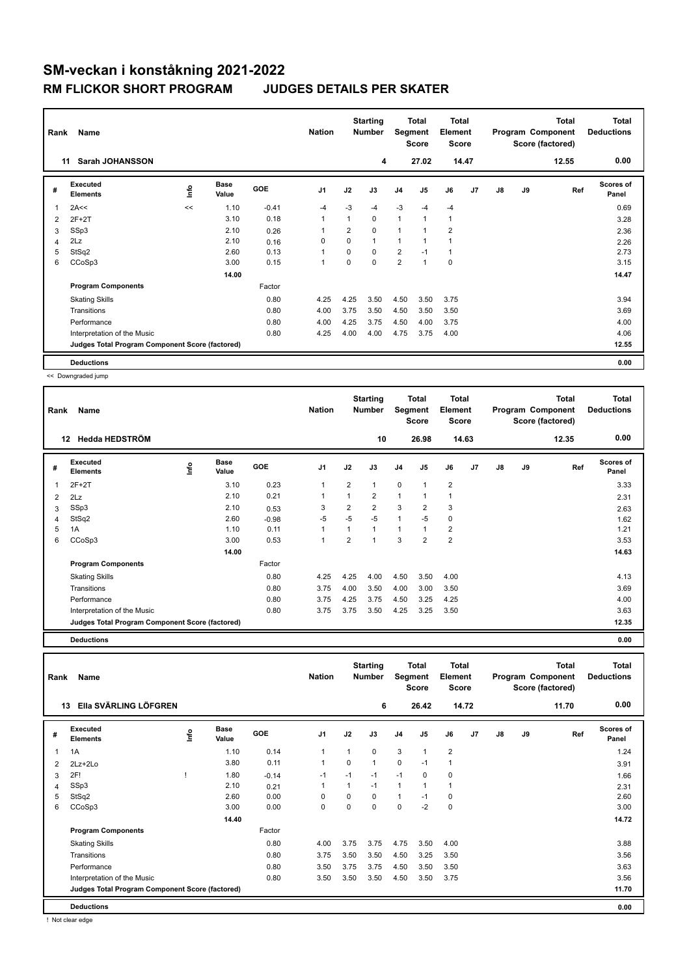| Rank | Name                                            |             |                      |         | <b>Nation</b>  |                | <b>Starting</b><br><b>Number</b> | Segment        | Total<br><b>Score</b> | <b>Total</b><br>Element<br><b>Score</b> |       |    |    | <b>Total</b><br>Program Component<br>Score (factored) | Total<br><b>Deductions</b> |
|------|-------------------------------------------------|-------------|----------------------|---------|----------------|----------------|----------------------------------|----------------|-----------------------|-----------------------------------------|-------|----|----|-------------------------------------------------------|----------------------------|
|      | <b>Sarah JOHANSSON</b><br>11                    |             |                      |         |                |                | 4                                |                | 27.02                 |                                         | 14.47 |    |    | 12.55                                                 | 0.00                       |
| #    | Executed<br><b>Elements</b>                     | <u>info</u> | <b>Base</b><br>Value | GOE     | J <sub>1</sub> | J2             | J3                               | J <sub>4</sub> | J <sub>5</sub>        | J6                                      | J7    | J8 | J9 | Ref                                                   | <b>Scores of</b><br>Panel  |
| 1    | 2A<<                                            | <<          | 1.10                 | $-0.41$ | $-4$           | $-3$           | $-4$                             | $-3$           | $-4$                  | $-4$                                    |       |    |    |                                                       | 0.69                       |
| 2    | $2F+2T$                                         |             | 3.10                 | 0.18    | $\mathbf{1}$   | 1              | 0                                | $\mathbf{1}$   | 1                     | $\mathbf{1}$                            |       |    |    |                                                       | 3.28                       |
| 3    | SSp3                                            |             | 2.10                 | 0.26    |                | $\overline{2}$ | 0                                | 1              |                       | $\overline{2}$                          |       |    |    |                                                       | 2.36                       |
| 4    | 2Lz                                             |             | 2.10                 | 0.16    | 0              | $\Omega$       | 1                                | 1              |                       | 1                                       |       |    |    |                                                       | 2.26                       |
| 5    | StSq2                                           |             | 2.60                 | 0.13    |                | 0              | 0                                | $\overline{2}$ | $-1$                  | $\mathbf 1$                             |       |    |    |                                                       | 2.73                       |
| 6    | CCoSp3                                          |             | 3.00                 | 0.15    | -1             | $\Omega$       | 0                                | $\overline{2}$ | 1                     | 0                                       |       |    |    |                                                       | 3.15                       |
|      |                                                 |             | 14.00                |         |                |                |                                  |                |                       |                                         |       |    |    |                                                       | 14.47                      |
|      | <b>Program Components</b>                       |             |                      | Factor  |                |                |                                  |                |                       |                                         |       |    |    |                                                       |                            |
|      | <b>Skating Skills</b>                           |             |                      | 0.80    | 4.25           | 4.25           | 3.50                             | 4.50           | 3.50                  | 3.75                                    |       |    |    |                                                       | 3.94                       |
|      | Transitions                                     |             |                      | 0.80    | 4.00           | 3.75           | 3.50                             | 4.50           | 3.50                  | 3.50                                    |       |    |    |                                                       | 3.69                       |
|      | Performance                                     |             |                      | 0.80    | 4.00           | 4.25           | 3.75                             | 4.50           | 4.00                  | 3.75                                    |       |    |    |                                                       | 4.00                       |
|      | Interpretation of the Music                     |             |                      | 0.80    | 4.25           | 4.00           | 4.00                             | 4.75           | 3.75                  | 4.00                                    |       |    |    |                                                       | 4.06                       |
|      | Judges Total Program Component Score (factored) |             |                      |         |                |                |                                  |                |                       |                                         |       |    |    |                                                       | 12.55                      |
|      | <b>Deductions</b>                               |             |                      |         |                |                |                                  |                |                       |                                         |       |    |    |                                                       | 0.00                       |

<< Downgraded jump

| Rank | Name                                            |      |                      |            | <b>Nation</b>  |                | <b>Starting</b><br><b>Number</b> | Segment        | Total<br><b>Score</b> | <b>Total</b><br>Element<br><b>Score</b> |       |               |    | <b>Total</b><br>Program Component<br>Score (factored) | Total<br><b>Deductions</b> |
|------|-------------------------------------------------|------|----------------------|------------|----------------|----------------|----------------------------------|----------------|-----------------------|-----------------------------------------|-------|---------------|----|-------------------------------------------------------|----------------------------|
|      | Hedda HEDSTRÖM<br>12                            |      |                      |            |                |                | 10                               |                | 26.98                 |                                         | 14.63 |               |    | 12.35                                                 | 0.00                       |
| #    | <b>Executed</b><br><b>Elements</b>              | ١nf٥ | <b>Base</b><br>Value | <b>GOE</b> | J <sub>1</sub> | J2             | J3                               | J <sub>4</sub> | J <sub>5</sub>        | J6                                      | J7    | $\mathsf{J}8$ | J9 | Ref                                                   | Scores of<br>Panel         |
|      | $2F+2T$                                         |      | 3.10                 | 0.23       | 1              | $\overline{2}$ | 1                                | $\mathbf 0$    | $\mathbf{1}$          | $\overline{2}$                          |       |               |    |                                                       | 3.33                       |
| 2    | 2Lz                                             |      | 2.10                 | 0.21       | 1              | $\overline{1}$ | $\overline{2}$                   | $\mathbf{1}$   | 1                     | $\mathbf 1$                             |       |               |    |                                                       | 2.31                       |
| 3    | SSp3                                            |      | 2.10                 | 0.53       | 3              | $\overline{2}$ | $\overline{2}$                   | 3              | $\overline{2}$        | 3                                       |       |               |    |                                                       | 2.63                       |
| 4    | StSq2                                           |      | 2.60                 | $-0.98$    | $-5$           | $-5$           | $-5$                             | $\mathbf{1}$   | $-5$                  | $\mathbf 0$                             |       |               |    |                                                       | 1.62                       |
| 5    | 1A                                              |      | 1.10                 | 0.11       | 1              | 1              | $\mathbf{1}$                     | 1              | 1                     | $\overline{2}$                          |       |               |    |                                                       | 1.21                       |
| 6    | CCoSp3                                          |      | 3.00                 | 0.53       | 1              | $\overline{2}$ | 1                                | 3              | $\overline{2}$        | $\overline{2}$                          |       |               |    |                                                       | 3.53                       |
|      |                                                 |      | 14.00                |            |                |                |                                  |                |                       |                                         |       |               |    |                                                       | 14.63                      |
|      | <b>Program Components</b>                       |      |                      | Factor     |                |                |                                  |                |                       |                                         |       |               |    |                                                       |                            |
|      | <b>Skating Skills</b>                           |      |                      | 0.80       | 4.25           | 4.25           | 4.00                             | 4.50           | 3.50                  | 4.00                                    |       |               |    |                                                       | 4.13                       |
|      | Transitions                                     |      |                      | 0.80       | 3.75           | 4.00           | 3.50                             | 4.00           | 3.00                  | 3.50                                    |       |               |    |                                                       | 3.69                       |
|      | Performance                                     |      |                      | 0.80       | 3.75           | 4.25           | 3.75                             | 4.50           | 3.25                  | 4.25                                    |       |               |    |                                                       | 4.00                       |
|      | Interpretation of the Music                     |      |                      | 0.80       | 3.75           | 3.75           | 3.50                             | 4.25           | 3.25                  | 3.50                                    |       |               |    |                                                       | 3.63                       |
|      | Judges Total Program Component Score (factored) |      |                      |            |                |                |                                  |                |                       |                                         |       |               |    |                                                       | 12.35                      |

**Deductions 0.00**

**Total Deductions Total Program Component Score (factored) Total Element Score Total Segment Score Starting Rank Name Nation Number # Executed Elements Base Value GOE J1 J2 J3 J4 J5 J6 J7 J8 J9 Scores of Panel** 1 1.10 0.14 1 1 0 3 1 2 **Ref**  سماء بن المسلمان المسلمان المسلمان المسلمان المسلمان المسلمان المسلمان المسلمان المسلمان المسلمان المسلمان الم<br>1A 1.10 0.14 1 1 0 3 1 2 1.24 1.24  **13 Ella SVÄRLING LÖFGREN 6 26.42 14.72 11.70 0.00** 2 2Lz+2Lo 3.80 0.11 1 0 1 0 -1 1 3.91 3 2F! ! 1.80 -0.14 -1 -1 -1 -1 0 0 1.66 4 SSp3 2.31 2.10 0.21 1 1 -1 1 1 1 1 2.31 5 StSq2 2.60 0.00 0 0 0 1 -1 0 2.60 6 CCoSp3 3.00 0.00 0 0 0 0 -2 0 3.00  **14.40 14.72 Program Components**  Skating Skills **4.00** 3.75 3.75 4.75 3.50 4.00 Factor 0.80 3.88 Transitions 0.80 3.75 3.50 3.50 4.50 3.25 3.50 3.56 Performance 0.80 3.50 3.75 3.75 4.50 3.50 3.50 3.63 Interpretation of the Music 0.80 3.50 3.50 3.50 4.50 3.50 3.75 3.56 **Deductions 0.00 Judges Total Program Component Score (factored) 11.70**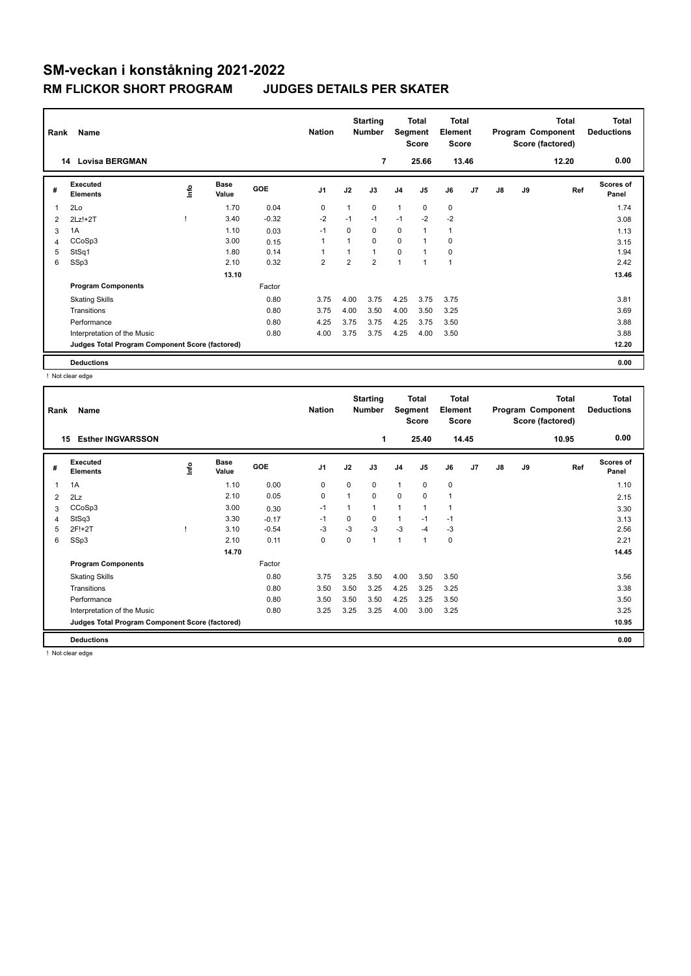|                | Name<br>Rank                                    |      |                      |            |                |                | <b>Starting</b><br><b>Number</b> |                | <b>Total</b><br>Segment<br><b>Score</b> |                | <b>Total</b><br>Element<br><b>Score</b> |    |    | <b>Total</b><br>Program Component<br>Score (factored) | <b>Total</b><br><b>Deductions</b> |
|----------------|-------------------------------------------------|------|----------------------|------------|----------------|----------------|----------------------------------|----------------|-----------------------------------------|----------------|-----------------------------------------|----|----|-------------------------------------------------------|-----------------------------------|
|                | <b>Lovisa BERGMAN</b><br>14                     |      |                      |            |                |                | $\overline{7}$                   |                | 25.66                                   |                | 13.46                                   |    |    | 12.20                                                 | 0.00                              |
| #              | Executed<br><b>Elements</b>                     | Info | <b>Base</b><br>Value | <b>GOE</b> | J <sub>1</sub> | J2             | J3                               | J <sub>4</sub> | J <sub>5</sub>                          | J6             | J <sub>7</sub>                          | J8 | J9 | Ref                                                   | Scores of<br>Panel                |
| $\overline{1}$ | 2Lo                                             |      | 1.70                 | 0.04       | 0              | 1              | 0                                | $\mathbf{1}$   | $\mathbf 0$                             | 0              |                                         |    |    |                                                       | 1.74                              |
| 2              | $2Lz!+2T$                                       |      | 3.40                 | $-0.32$    | $-2$           | $-1$           | $-1$                             | $-1$           | $-2$                                    | $-2$           |                                         |    |    |                                                       | 3.08                              |
| 3              | 1A                                              |      | 1.10                 | 0.03       | $-1$           | $\Omega$       | 0                                | $\mathbf 0$    | 1                                       | $\mathbf{1}$   |                                         |    |    |                                                       | 1.13                              |
| 4              | CCoSp3                                          |      | 3.00                 | 0.15       |                | $\overline{ }$ | 0                                | $\Omega$       | $\overline{ }$                          | 0              |                                         |    |    |                                                       | 3.15                              |
| 5              | StSq1                                           |      | 1.80                 | 0.14       |                |                | 1                                | $\mathbf 0$    | $\overline{1}$                          | 0              |                                         |    |    |                                                       | 1.94                              |
| 6              | SSp3                                            |      | 2.10                 | 0.32       | $\overline{2}$ | $\overline{2}$ | $\overline{2}$                   | 1              | $\mathbf{1}$                            | $\overline{1}$ |                                         |    |    |                                                       | 2.42                              |
|                |                                                 |      | 13.10                |            |                |                |                                  |                |                                         |                |                                         |    |    |                                                       | 13.46                             |
|                | <b>Program Components</b>                       |      |                      | Factor     |                |                |                                  |                |                                         |                |                                         |    |    |                                                       |                                   |
|                | <b>Skating Skills</b>                           |      |                      | 0.80       | 3.75           | 4.00           | 3.75                             | 4.25           | 3.75                                    | 3.75           |                                         |    |    |                                                       | 3.81                              |
|                | Transitions                                     |      |                      | 0.80       | 3.75           | 4.00           | 3.50                             | 4.00           | 3.50                                    | 3.25           |                                         |    |    |                                                       | 3.69                              |
|                | Performance                                     |      |                      | 0.80       | 4.25           | 3.75           | 3.75                             | 4.25           | 3.75                                    | 3.50           |                                         |    |    |                                                       | 3.88                              |
|                | Interpretation of the Music                     |      |                      | 0.80       | 4.00           | 3.75           | 3.75                             | 4.25           | 4.00                                    | 3.50           |                                         |    |    |                                                       | 3.88                              |
|                | Judges Total Program Component Score (factored) |      |                      |            |                |                |                                  |                |                                         |                |                                         |    |    |                                                       | 12.20                             |
|                | <b>Deductions</b>                               |      |                      |            |                |                |                                  |                |                                         |                |                                         |    |    |                                                       | 0.00                              |

! Not clear edge

|                | Name<br>Rank                                    |      |                      |            |                |              | <b>Starting</b><br><b>Number</b> | <b>Total</b><br>Segment<br><b>Score</b> |                | <b>Total</b><br>Element<br><b>Score</b> |                | <b>Total</b><br>Program Component<br>Score (factored) |    |       | <b>Total</b><br><b>Deductions</b> |
|----------------|-------------------------------------------------|------|----------------------|------------|----------------|--------------|----------------------------------|-----------------------------------------|----------------|-----------------------------------------|----------------|-------------------------------------------------------|----|-------|-----------------------------------|
| 15             | <b>Esther INGVARSSON</b>                        |      |                      |            |                |              | 1                                |                                         | 25.40          |                                         | 14.45          |                                                       |    | 10.95 | 0.00                              |
| #              | Executed<br><b>Elements</b>                     | ١nf٥ | <b>Base</b><br>Value | <b>GOE</b> | J <sub>1</sub> | J2           | J3                               | J4                                      | J <sub>5</sub> | J6                                      | J <sub>7</sub> | J8                                                    | J9 | Ref   | Scores of<br>Panel                |
| 1              | 1A                                              |      | 1.10                 | 0.00       | 0              | $\mathbf 0$  | $\mathbf 0$                      | $\mathbf{1}$                            | $\pmb{0}$      | $\mathbf 0$                             |                |                                                       |    |       | 1.10                              |
| $\overline{2}$ | 2Lz                                             |      | 2.10                 | 0.05       | $\mathbf 0$    | $\mathbf{1}$ | $\mathbf 0$                      | 0                                       | $\mathbf 0$    | 1                                       |                |                                                       |    |       | 2.15                              |
| 3              | CCoSp3                                          |      | 3.00                 | 0.30       | $-1$           |              | $\mathbf{1}$                     | $\mathbf{1}$                            | 1              | 1                                       |                |                                                       |    |       | 3.30                              |
| 4              | StSq3                                           |      | 3.30                 | $-0.17$    | $-1$           | 0            | 0                                | 1                                       | $-1$           | $-1$                                    |                |                                                       |    |       | 3.13                              |
| 5              | $2F!+2T$                                        |      | 3.10                 | $-0.54$    | -3             | $-3$         | $-3$                             | $-3$                                    | $-4$           | $-3$                                    |                |                                                       |    |       | 2.56                              |
| 6              | SSp3                                            |      | 2.10                 | 0.11       | 0              | $\Omega$     | $\mathbf{1}$                     | 1                                       | $\overline{1}$ | 0                                       |                |                                                       |    |       | 2.21                              |
|                |                                                 |      | 14.70                |            |                |              |                                  |                                         |                |                                         |                |                                                       |    |       | 14.45                             |
|                | <b>Program Components</b>                       |      |                      | Factor     |                |              |                                  |                                         |                |                                         |                |                                                       |    |       |                                   |
|                | <b>Skating Skills</b>                           |      |                      | 0.80       | 3.75           | 3.25         | 3.50                             | 4.00                                    | 3.50           | 3.50                                    |                |                                                       |    |       | 3.56                              |
|                | Transitions                                     |      |                      | 0.80       | 3.50           | 3.50         | 3.25                             | 4.25                                    | 3.25           | 3.25                                    |                |                                                       |    |       | 3.38                              |
|                | Performance                                     |      |                      | 0.80       | 3.50           | 3.50         | 3.50                             | 4.25                                    | 3.25           | 3.50                                    |                |                                                       |    |       | 3.50                              |
|                | Interpretation of the Music                     |      |                      | 0.80       | 3.25           | 3.25         | 3.25                             | 4.00                                    | 3.00           | 3.25                                    |                |                                                       |    |       | 3.25                              |
|                | Judges Total Program Component Score (factored) |      |                      |            |                |              |                                  |                                         |                |                                         |                |                                                       |    |       | 10.95                             |
|                | <b>Deductions</b>                               |      |                      |            |                |              |                                  |                                         |                |                                         |                |                                                       |    |       | 0.00                              |